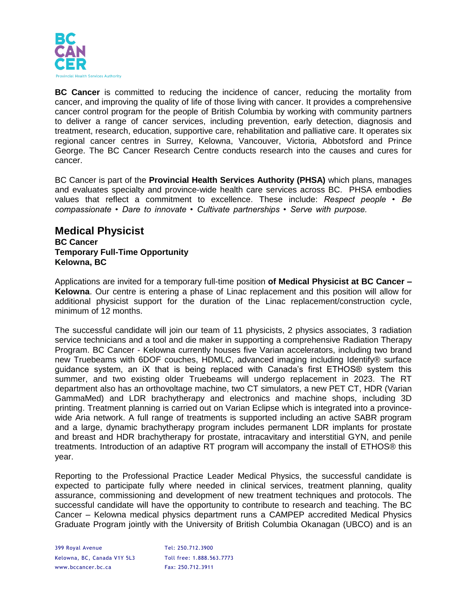

**BC Cancer** is committed to reducing the incidence of cancer, reducing the mortality from cancer, and improving the quality of life of those living with cancer. It provides a comprehensive cancer control program for the people of British Columbia by working with community partners to deliver a range of cancer services, including prevention, early detection, diagnosis and treatment, research, education, supportive care, rehabilitation and palliative care. It operates six regional cancer centres in Surrey, Kelowna, Vancouver, Victoria, Abbotsford and Prince George. The BC Cancer Research Centre conducts research into the causes and cures for cancer.

BC Cancer is part of the **Provincial Health Services Authority (PHSA)** which plans, manages and evaluates specialty and province-wide health care services across BC. PHSA embodies values that reflect a commitment to excellence. These include: *Respect people • Be compassionate • Dare to innovate • Cultivate partnerships • Serve with purpose.* 

## **Medical Physicist BC Cancer Temporary Full-Time Opportunity Kelowna, BC**

Applications are invited for a temporary full-time position **of Medical Physicist at BC Cancer – Kelowna**. Our centre is entering a phase of Linac replacement and this position will allow for additional physicist support for the duration of the Linac replacement/construction cycle, minimum of 12 months.

The successful candidate will join our team of 11 physicists, 2 physics associates, 3 radiation service technicians and a tool and die maker in supporting a comprehensive Radiation Therapy Program. BC Cancer - Kelowna currently houses five Varian accelerators, including two brand new Truebeams with 6DOF couches, HDMLC, advanced imaging including Identify® surface guidance system, an iX that is being replaced with Canada's first ETHOS® system this summer, and two existing older Truebeams will undergo replacement in 2023. The RT department also has an orthovoltage machine, two CT simulators, a new PET CT, HDR (Varian GammaMed) and LDR brachytherapy and electronics and machine shops, including 3D printing. Treatment planning is carried out on Varian Eclipse which is integrated into a provincewide Aria network. A full range of treatments is supported including an active SABR program and a large, dynamic brachytherapy program includes permanent LDR implants for prostate and breast and HDR brachytherapy for prostate, intracavitary and interstitial GYN, and penile treatments. Introduction of an adaptive RT program will accompany the install of ETHOS® this year.

Reporting to the Professional Practice Leader Medical Physics, the successful candidate is expected to participate fully where needed in clinical services, treatment planning, quality assurance, commissioning and development of new treatment techniques and protocols. The successful candidate will have the opportunity to contribute to research and teaching. The BC Cancer – Kelowna medical physics department runs a CAMPEP accredited Medical Physics Graduate Program jointly with the University of British Columbia Okanagan (UBCO) and is an

399 Royal Avenue Tel: 250.712.3900 Kelowna, BC, Canada V1Y 5L3 Toll free: 1.888.563.7773 www.bccancer.bc.ca Fax: 250.712.3911